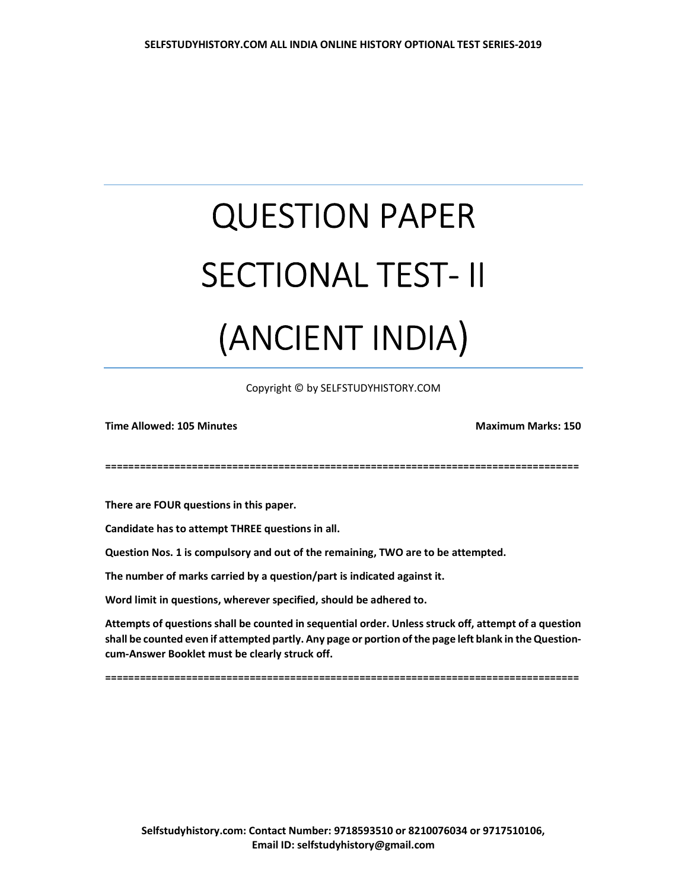## QUESTION PAPER SECTIONAL TEST- II (ANCIENT INDIA)

Copyright © by SELFSTUDYHISTORY.COM

Time Allowed: 105 Minutes Maximum Marks: 150

==================================================================================

There are FOUR questions in this paper.

Candidate has to attempt THREE questions in all.

Question Nos. 1 is compulsory and out of the remaining, TWO are to be attempted.

The number of marks carried by a question/part is indicated against it.

Word limit in questions, wherever specified, should be adhered to.

Attempts of questions shall be counted in sequential order. Unless struck off, attempt of a question shall be counted even if attempted partly. Any page or portion of the page left blank in the Questioncum-Answer Booklet must be clearly struck off.

==================================================================================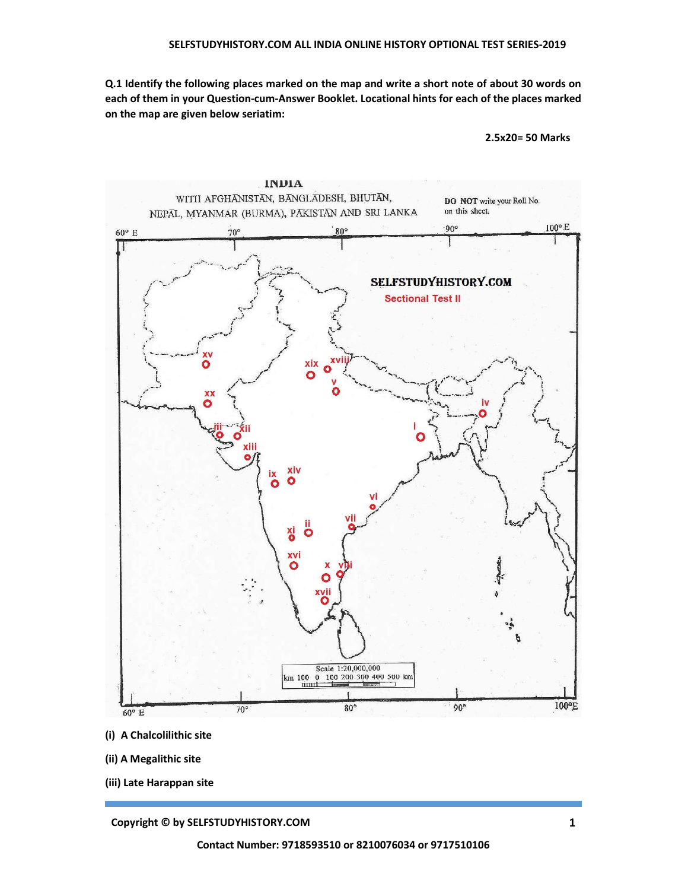Q.1 Identify the following places marked on the map and write a short note of about 30 words on each of them in your Question-cum-Answer Booklet. Locational hints for each of the places marked on the map are given below seriatim:

2.5x20= 50 Marks



- (i) A Chalcolilithic site
- (ii) A Megalithic site
- (iii) Late Harappan site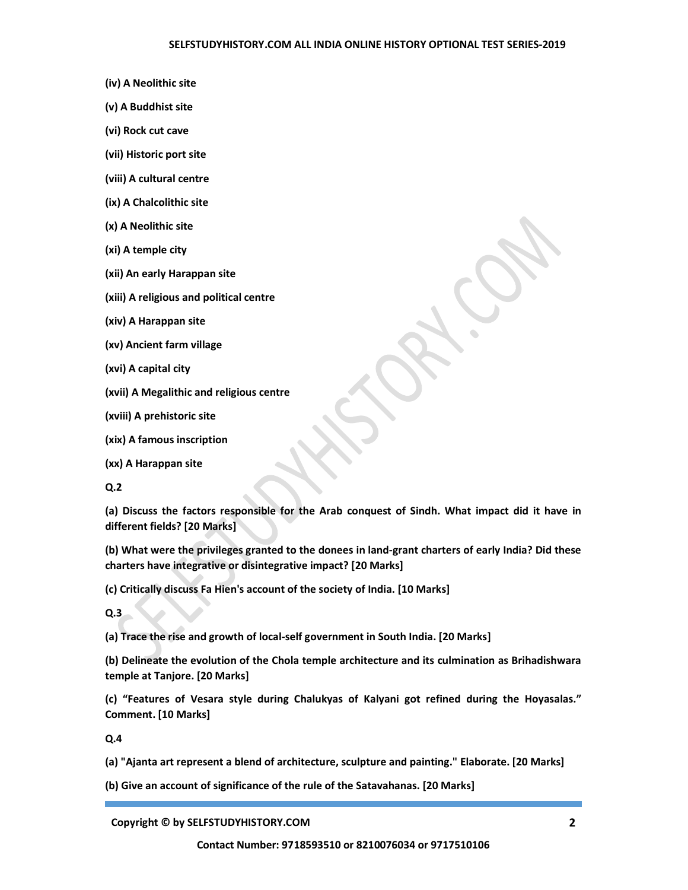- (iv) A Neolithic site
- (v) A Buddhist site
- (vi) Rock cut cave
- (vii) Historic port site
- (viii) A cultural centre
- (ix) A Chalcolithic site
- (x) A Neolithic site
- (xi) A temple city
- (xii) An early Harappan site
- (xiii) A religious and political centre
- (xiv) A Harappan site
- (xv) Ancient farm village
- (xvi) A capital city
- (xvii) A Megalithic and religious centre
- (xviii) A prehistoric site
- (xix) A famous inscription
- (xx) A Harappan site

Q.2

(a) Discuss the factors responsible for the Arab conquest of Sindh. What impact did it have in different fields? [20 Marks]

(b) What were the privileges granted to the donees in land-grant charters of early India? Did these charters have integrative or disintegrative impact? [20 Marks]

(c) Critically discuss Fa Hien's account of the society of India. [10 Marks]

Q.3

(a) Trace the rise and growth of local-self government in South India. [20 Marks]

(b) Delineate the evolution of the Chola temple architecture and its culmination as Brihadishwara temple at Tanjore. [20 Marks]

(c) "Features of Vesara style during Chalukyas of Kalyani got refined during the Hoyasalas." Comment. [10 Marks]

Q.4

(a) "Ajanta art represent a blend of architecture, sculpture and painting." Elaborate. [20 Marks]

(b) Give an account of significance of the rule of the Satavahanas. [20 Marks]

Copyright © by SELFSTUDYHISTORY.COM 2